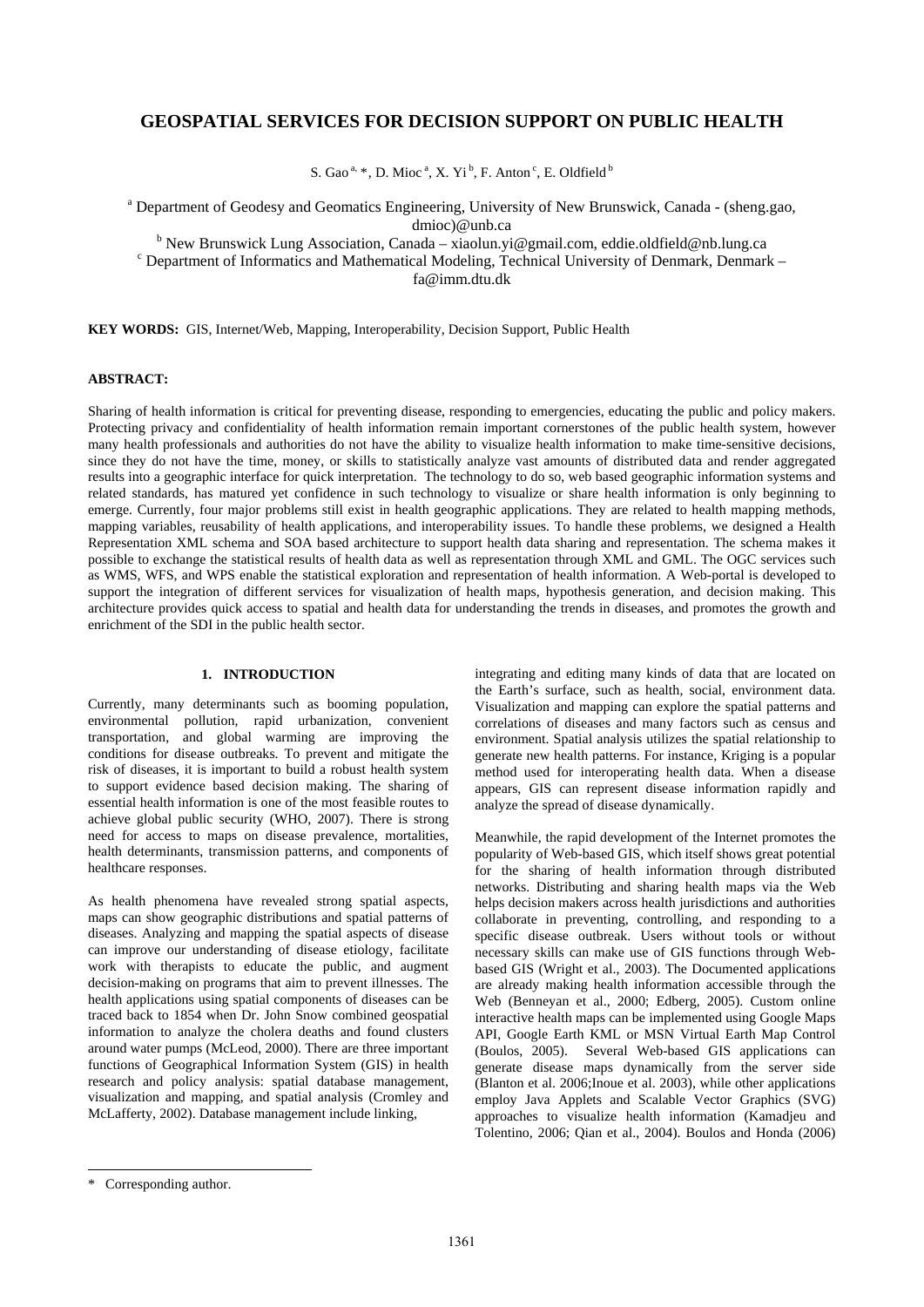# **GEOSPATIAL SERVICES FOR DECISION SUPPORT ON PUBLIC HEALTH**

S. Gao<sup>a, [\\*](#page-0-0)</sup>, D. Mioc<sup>a</sup>, X. Yi<sup>b</sup>, F. Anton<sup>c</sup>, E. Oldfield<sup>b</sup>

<sup>a</sup> Department of Geodesy and Geomatics Engineering, University of New Brunswick, Canada - (sheng.gao, dmioc)@unb.ca<br><sup>b</sup> Now Prunquick Lung Association Canada viaclum vi

<sup>b</sup> New Brunswick Lung Association, Canada – xiaolun.yi@gmail.com, eddie.oldfield@nb.lung.ca canada – xiaolun.yi@gmail.com, eddie.oldfield@nb.lung.ca canada – xiaolun.yi

Department of Informatics and Mathematical Modeling, Technical University of Denmark, Denmark –

fa@imm.dtu.dk

**KEY WORDS:** GIS, Internet/Web, Mapping, Interoperability, Decision Support, Public Health

## **ABSTRACT:**

Sharing of health information is critical for preventing disease, responding to emergencies, educating the public and policy makers. Protecting privacy and confidentiality of health information remain important cornerstones of the public health system, however many health professionals and authorities do not have the ability to visualize health information to make time-sensitive decisions, since they do not have the time, money, or skills to statistically analyze vast amounts of distributed data and render aggregated results into a geographic interface for quick interpretation. The technology to do so, web based geographic information systems and related standards, has matured yet confidence in such technology to visualize or share health information is only beginning to emerge. Currently, four major problems still exist in health geographic applications. They are related to health mapping methods, mapping variables, reusability of health applications, and interoperability issues. To handle these problems, we designed a Health Representation XML schema and SOA based architecture to support health data sharing and representation. The schema makes it possible to exchange the statistical results of health data as well as representation through XML and GML. The OGC services such as WMS, WFS, and WPS enable the statistical exploration and representation of health information. A Web-portal is developed to support the integration of different services for visualization of health maps, hypothesis generation, and decision making. This architecture provides quick access to spatial and health data for understanding the trends in diseases, and promotes the growth and enrichment of the SDI in the public health sector.

# **1. INTRODUCTION**

Currently, many determinants such as booming population, environmental pollution, rapid urbanization, convenient transportation, and global warming are improving the conditions for disease outbreaks. To prevent and mitigate the risk of diseases, it is important to build a robust health system to support evidence based decision making. The sharing of essential health information is one of the most feasible routes to achieve global public security (WHO, 2007). There is strong need for access to maps on disease prevalence, mortalities, health determinants, transmission patterns, and components of healthcare responses.

As health phenomena have revealed strong spatial aspects, maps can show geographic distributions and spatial patterns of diseases. Analyzing and mapping the spatial aspects of disease can improve our understanding of disease etiology, facilitate work with therapists to educate the public, and augment decision-making on programs that aim to prevent illnesses. The health applications using spatial components of diseases can be traced back to 1854 when Dr. John Snow combined geospatial information to analyze the cholera deaths and found clusters around water pumps (McLeod, 2000). There are three important functions of Geographical Information System (GIS) in health research and policy analysis: spatial database management, visualization and mapping, and spatial analysis (Cromley and McLafferty, 2002). Database management include linking,

integrating and editing many kinds of data that are located on the Earth's surface, such as health, social, environment data. Visualization and mapping can explore the spatial patterns and correlations of diseases and many factors such as census and environment. Spatial analysis utilizes the spatial relationship to generate new health patterns. For instance, Kriging is a popular method used for interoperating health data. When a disease appears, GIS can represent disease information rapidly and analyze the spread of disease dynamically.

Meanwhile, the rapid development of the Internet promotes the popularity of Web-based GIS, which itself shows great potential for the sharing of health information through distributed networks. Distributing and sharing health maps via the Web helps decision makers across health jurisdictions and authorities collaborate in preventing, controlling, and responding to a specific disease outbreak. Users without tools or without necessary skills can make use of GIS functions through Webbased GIS (Wright et al., 2003). The Documented applications are already making health information accessible through the Web (Benneyan et al., 2000; Edberg, 2005). Custom online interactive health maps can be implemented using Google Maps API, Google Earth KML or MSN Virtual Earth Map Control (Boulos, 2005). Several Web-based GIS applications can generate disease maps dynamically from the server side (Blanton et al. 2006;Inoue et al. 2003), while other applications employ Java Applets and Scalable Vector Graphics (SVG) approaches to visualize health information (Kamadjeu and Tolentino, 2006; Qian et al., 2004). Boulos and Honda (2006)

l

<span id="page-0-0"></span><sup>\*</sup> Corresponding author.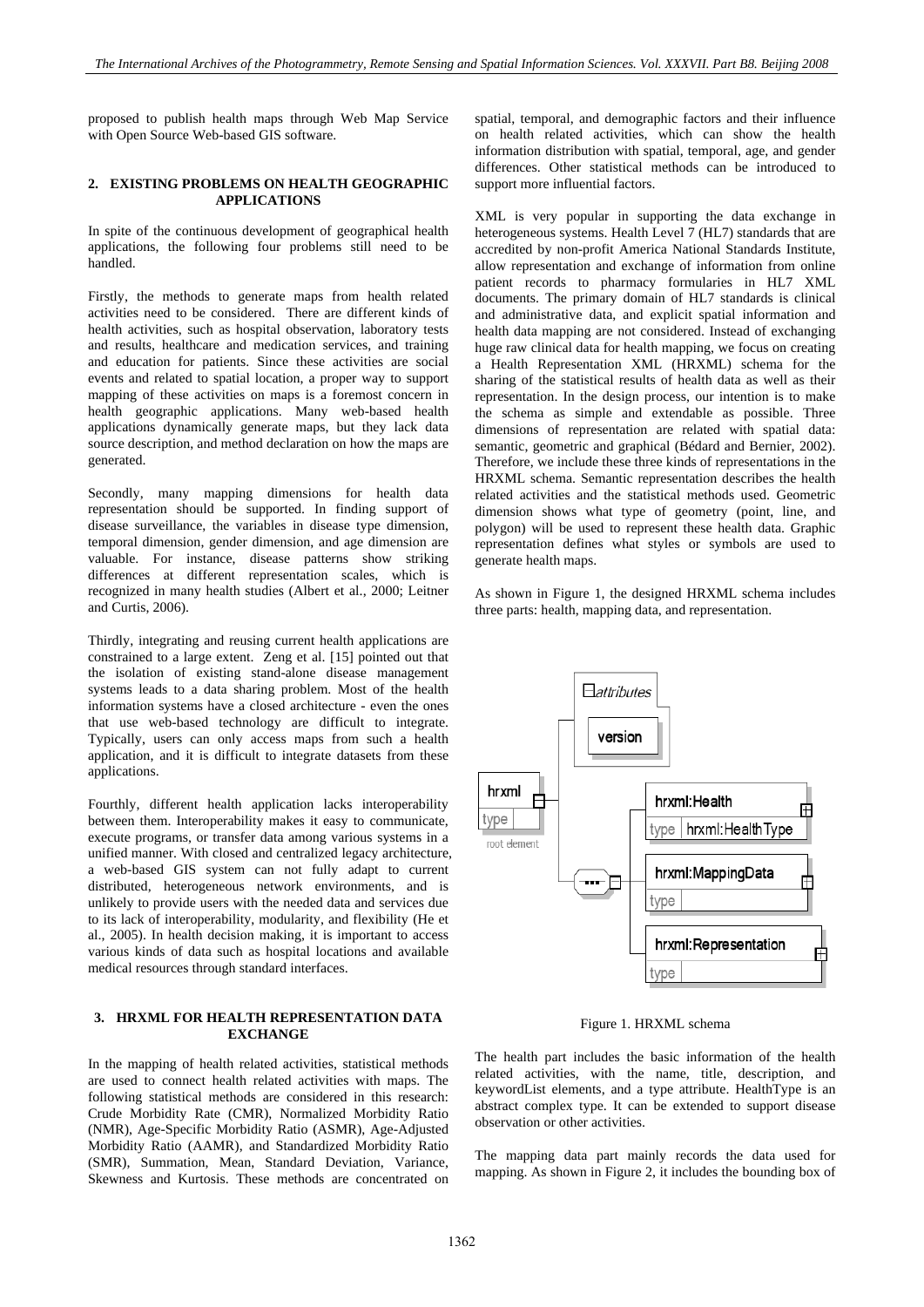proposed to publish health maps through Web Map Service with Open Source Web-based GIS software.

## **2. EXISTING PROBLEMS ON HEALTH GEOGRAPHIC APPLICATIONS**

In spite of the continuous development of geographical health applications, the following four problems still need to be handled.

Firstly, the methods to generate maps from health related activities need to be considered. There are different kinds of health activities, such as hospital observation, laboratory tests and results, healthcare and medication services, and training and education for patients. Since these activities are social events and related to spatial location, a proper way to support mapping of these activities on maps is a foremost concern in health geographic applications. Many web-based health applications dynamically generate maps, but they lack data source description, and method declaration on how the maps are generated.

Secondly, many mapping dimensions for health data representation should be supported. In finding support of disease surveillance, the variables in disease type dimension, temporal dimension, gender dimension, and age dimension are valuable. For instance, disease patterns show striking differences at different representation scales, which is recognized in many health studies (Albert et al., 2000; Leitner and Curtis, 2006).

Thirdly, integrating and reusing current health applications are constrained to a large extent. Zeng et al. [15] pointed out that the isolation of existing stand-alone disease management systems leads to a data sharing problem. Most of the health information systems have a closed architecture - even the ones that use web-based technology are difficult to integrate. Typically, users can only access maps from such a health application, and it is difficult to integrate datasets from these applications.

Fourthly, different health application lacks interoperability between them. Interoperability makes it easy to communicate, execute programs, or transfer data among various systems in a unified manner. With closed and centralized legacy architecture, a web-based GIS system can not fully adapt to current distributed, heterogeneous network environments, and is unlikely to provide users with the needed data and services due to its lack of interoperability, modularity, and flexibility (He et al., 2005). In health decision making, it is important to access various kinds of data such as hospital locations and available medical resources through standard interfaces.

## **3. HRXML FOR HEALTH REPRESENTATION DATA EXCHANGE**

In the mapping of health related activities, statistical methods are used to connect health related activities with maps. The following statistical methods are considered in this research: Crude Morbidity Rate (CMR), Normalized Morbidity Ratio (NMR), Age-Specific Morbidity Ratio (ASMR), Age-Adjusted Morbidity Ratio (AAMR), and Standardized Morbidity Ratio (SMR), Summation, Mean, Standard Deviation, Variance, Skewness and Kurtosis. These methods are concentrated on spatial, temporal, and demographic factors and their influence on health related activities, which can show the health information distribution with spatial, temporal, age, and gender differences. Other statistical methods can be introduced to support more influential factors.

XML is very popular in supporting the data exchange in heterogeneous systems. Health Level  $\overline{7}$  (HL7) standards that are accredited by non-profit America National Standards Institute, allow representation and exchange of information from online patient records to pharmacy formularies in HL7 XML documents. The primary domain of HL7 standards is clinical and administrative data, and explicit spatial information and health data mapping are not considered. Instead of exchanging huge raw clinical data for health mapping, we focus on creating a Health Representation XML (HRXML) schema for the sharing of the statistical results of health data as well as their representation. In the design process, our intention is to make the schema as simple and extendable as possible. Three dimensions of representation are related with spatial data: semantic, geometric and graphical (Bédard and Bernier, 2002). Therefore, we include these three kinds of representations in the HRXML schema. Semantic representation describes the health related activities and the statistical methods used. Geometric dimension shows what type of geometry (point, line, and polygon) will be used to represent these health data. Graphic representation defines what styles or symbols are used to generate health maps.

As shown in Figure 1, the designed HRXML schema includes three parts: health, mapping data, and representation.



Figure 1. HRXML schema

The health part includes the basic information of the health related activities, with the name, title, description, and keywordList elements, and a type attribute. HealthType is an abstract complex type. It can be extended to support disease observation or other activities.

The mapping data part mainly records the data used for mapping. As shown in Figure 2, it includes the bounding box of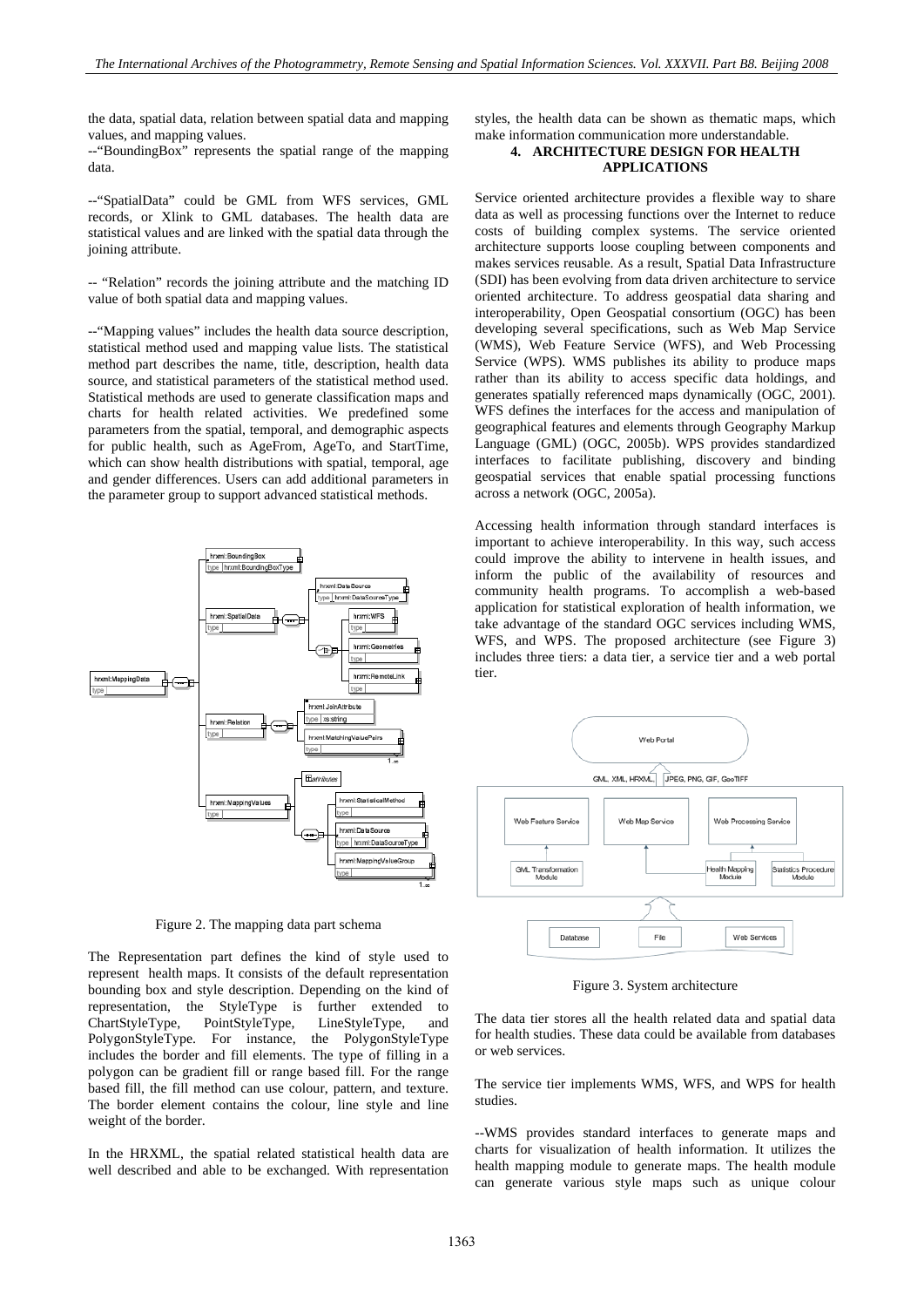the data, spatial data, relation between spatial data and mapping values, and mapping values.

--"BoundingBox" represents the spatial range of the mapping data.

--"SpatialData" could be GML from WFS services, GML records, or Xlink to GML databases. The health data are statistical values and are linked with the spatial data through the joining attribute.

-- "Relation" records the joining attribute and the matching ID value of both spatial data and mapping values.

--"Mapping values" includes the health data source description, statistical method used and mapping value lists. The statistical method part describes the name, title, description, health data source, and statistical parameters of the statistical method used. Statistical methods are used to generate classification maps and charts for health related activities. We predefined some parameters from the spatial, temporal, and demographic aspects for public health, such as AgeFrom, AgeTo, and StartTime, which can show health distributions with spatial, temporal, age and gender differences. Users can add additional parameters in the parameter group to support advanced statistical methods.



Figure 2. The mapping data part schema

The Representation part defines the kind of style used to represent health maps. It consists of the default representation bounding box and style description. Depending on the kind of representation, the StyleType is further extended to ChartStyleType, PointStyleType, LineStyleType, and PolygonStyleType. For instance, the PolygonStyleType includes the border and fill elements. The type of filling in a polygon can be gradient fill or range based fill. For the range based fill, the fill method can use colour, pattern, and texture. The border element contains the colour, line style and line weight of the border.

In the HRXML, the spatial related statistical health data are well described and able to be exchanged. With representation

styles, the health data can be shown as thematic maps, which make information communication more understandable.

# **4. ARCHITECTURE DESIGN FOR HEALTH APPLICATIONS**

Service oriented architecture provides a flexible way to share data as well as processing functions over the Internet to reduce costs of building complex systems. The service oriented architecture supports loose coupling between components and makes services reusable. As a result, Spatial Data Infrastructure (SDI) has been evolving from data driven architecture to service oriented architecture. To address geospatial data sharing and interoperability, Open Geospatial consortium (OGC) has been developing several specifications, such as Web Map Service (WMS), Web Feature Service (WFS), and Web Processing Service (WPS). WMS publishes its ability to produce maps rather than its ability to access specific data holdings, and generates spatially referenced maps dynamically (OGC, 2001). WFS defines the interfaces for the access and manipulation of geographical features and elements through Geography Markup Language (GML) (OGC, 2005b). WPS provides standardized interfaces to facilitate publishing, discovery and binding geospatial services that enable spatial processing functions across a network (OGC, 2005a).

Accessing health information through standard interfaces is important to achieve interoperability. In this way, such access could improve the ability to intervene in health issues, and inform the public of the availability of resources and community health programs. To accomplish a web-based application for statistical exploration of health information, we take advantage of the standard OGC services including WMS, WFS, and WPS. The proposed architecture (see Figure 3) includes three tiers: a data tier, a service tier and a web portal tier.



Figure 3. System architecture

The data tier stores all the health related data and spatial data for health studies. These data could be available from databases or web services.

The service tier implements WMS, WFS, and WPS for health studies.

--WMS provides standard interfaces to generate maps and charts for visualization of health information. It utilizes the health mapping module to generate maps. The health module can generate various style maps such as unique colour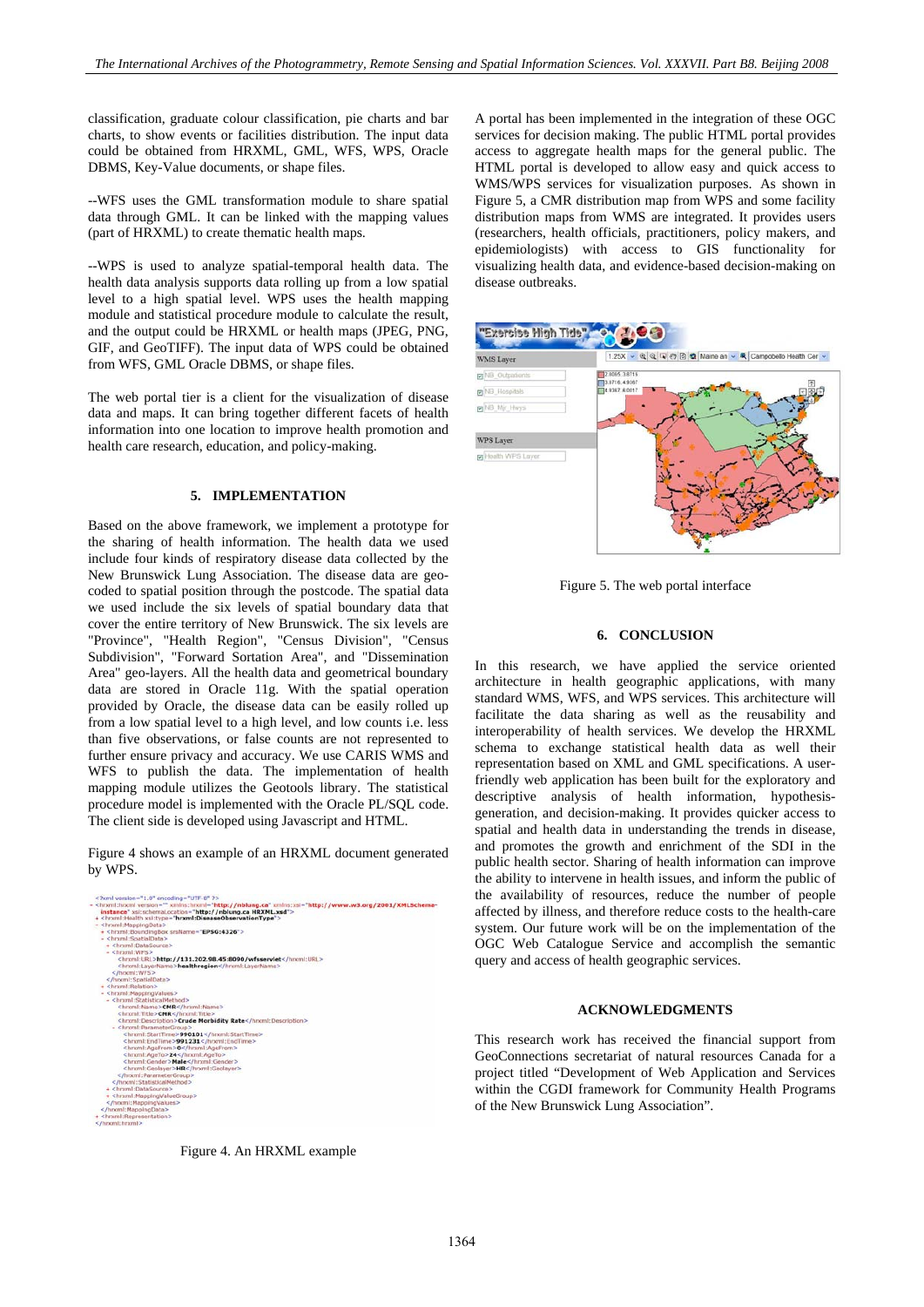classification, graduate colour classification, pie charts and bar charts, to show events or facilities distribution. The input data could be obtained from HRXML, GML, WFS, WPS, Oracle DBMS, Key-Value documents, or shape files.

--WFS uses the GML transformation module to share spatial data through GML. It can be linked with the mapping values (part of HRXML) to create thematic health maps.

--WPS is used to analyze spatial-temporal health data. The health data analysis supports data rolling up from a low spatial level to a high spatial level. WPS uses the health mapping module and statistical procedure module to calculate the result, and the output could be HRXML or health maps (JPEG, PNG, GIF, and GeoTIFF). The input data of WPS could be obtained from WFS, GML Oracle DBMS, or shape files.

The web portal tier is a client for the visualization of disease data and maps. It can bring together different facets of health information into one location to improve health promotion and health care research, education, and policy-making.

#### **5. IMPLEMENTATION**

Based on the above framework, we implement a prototype for the sharing of health information. The health data we used include four kinds of respiratory disease data collected by the New Brunswick Lung Association. The disease data are geocoded to spatial position through the postcode. The spatial data we used include the six levels of spatial boundary data that cover the entire territory of New Brunswick. The six levels are "Province", "Health Region", "Census Division", "Census Subdivision", "Forward Sortation Area", and "Dissemination Area" geo-layers. All the health data and geometrical boundary data are stored in Oracle 11g. With the spatial operation provided by Oracle, the disease data can be easily rolled up from a low spatial level to a high level, and low counts i.e. less than five observations, or false counts are not represented to further ensure privacy and accuracy. We use CARIS WMS and WFS to publish the data. The implementation of health mapping module utilizes the Geotools library. The statistical procedure model is implemented with the Oracle PL/SQL code. The client side is developed using Javascript and HTML.

Figure 4 shows an example of an HRXML document generated by WPS.



Figure 4. An HRXML example

A portal has been implemented in the integration of these OGC services for decision making. The public HTML portal provides access to aggregate health maps for the general public. The HTML portal is developed to allow easy and quick access to WMS/WPS services for visualization purposes. As shown in Figure 5, a CMR distribution map from WPS and some facility distribution maps from WMS are integrated. It provides users (researchers, health officials, practitioners, policy makers, and epidemiologists) with access to GIS functionality for visualizing health data, and evidence-based decision-making on disease outbreaks.



Figure 5. The web portal interface

## **6. CONCLUSION**

In this research, we have applied the service oriented architecture in health geographic applications, with many standard WMS, WFS, and WPS services. This architecture will facilitate the data sharing as well as the reusability and interoperability of health services. We develop the HRXML schema to exchange statistical health data as well their representation based on XML and GML specifications. A userfriendly web application has been built for the exploratory and descriptive analysis of health information, hypothesisgeneration, and decision-making. It provides quicker access to spatial and health data in understanding the trends in disease, and promotes the growth and enrichment of the SDI in the public health sector. Sharing of health information can improve the ability to intervene in health issues, and inform the public of the availability of resources, reduce the number of people affected by illness, and therefore reduce costs to the health-care system. Our future work will be on the implementation of the OGC Web Catalogue Service and accomplish the semantic query and access of health geographic services.

## **ACKNOWLEDGMENTS**

This research work has received the financial support from GeoConnections secretariat of natural resources Canada for a project titled "Development of Web Application and Services within the CGDI framework for Community Health Programs of the New Brunswick Lung Association".